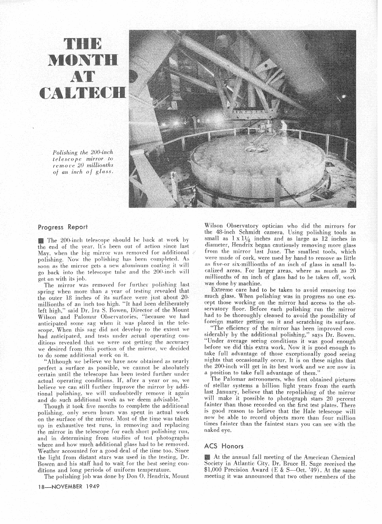# 'n begin MONTH  $C$  and  $T$  in  $C$  in  $C$

Polishing the 200-inch telescope mirror to remove 20 millionths of an inch of glass.



### Progress Report

The 200-inch telescope should be back at work by the end of the vear. It's been out of action since last May, when the big mirror was removed for additional polishing. Now the polishing has been completed. As soon as the mirror gets a new aluminum coating it will go back into the telescope tube and the 200-inch will get on with its job.

The mirror was removed for further polishing last spring when more than a year of testing revealed that the outer 18 inches of its surface were just about 20millionths of an inch too high. "It had been deliberately left high," said Dr. Ira S. Bowen, Director of the Mount Wilson and Palomar Observatories, "because we had anticipated some sag when it was placed in the telescope. When this sag did not develop to the extent we had anticipated, and tests under actual operating conditions revealed that we were not getting the accuracy we desired from this portion of the mirror, we decided to do some additional work on it.

"Although we believe we have now obtained as nearly perfect a surface as possible, we cannot be absolutely certain until the telescope has been tested further under actual operating conditions. If, after a year or so, we believe we can still further improve the mirror by additional polishing, we will undoubtedly remove it again and do such additional work as we deem advisable.

Though it took five months to complete the additional polishing, only seven hours was spent in actual work on the surface of the mirror. Most of the time was taken in in exhaustive test runs, in removing and replacing the mirror in the telescope for each short polishing run, and in determining from studies of test photographs where and how much additional glass had to be removed. Weather accounted for a good deal of the time too. Since the light from distant stars was used in the testing. Dr. Bowen and his staff had to wait for the best seeing conditions and long periods of uniform temperature.

The polishing job was done by Don O. Hendrix, Mount

18-NOVEMBER 1949

Wilson Observatory optician who did the mirrors for the 48-inch Schmidt camera. Using polishing tools as small as  $1 \times 1\frac{1}{4}$  inches and as large as  $12$  inches in diameter, Hendrix began cautiously removing more glass from the mirror last June. The smallest tools, which were made of cork, were used by hand to remove as little as five-or six-millionths of an inch of glass in small localized areas. For larger areas, where as much as 20 millionths of an inch of glass had to be taken off, work was done by machine.

Extreme care had to be taken to avoid removing too much glass. When polishing was in progress no one except those working on the mirror had access to the observatory floor. Before each polishing run the mirror had to be thoroughly cleaned to avoid the possibility of foreign matter getting on it and scratching its surface.

"The efficiency of the mirror has been improved considerably by the additional polishing," says Dr. Bowen.<br>"Under average seeing conditions it was good enough before we did this extra work. Now it is good enough to take full advantage of those exceptionally good seeing nights that occasionally occur. It is on these nights that the 200-inch will get in its best work and we are now in a position to take full advantage of them."

The Palomar astronomers, who first obtained pictures of stellar systems a billion light years from the earth last January, believe that the repolishing of the mirror will make it possible to photograph stars 20 percent fainter than those recorded on the first test plates. There is good reason to believe that the Hale telescope will now be able to record objects more than four million times fainter than the faintest stars you can see with the naked eve.

# **ACS Honors**

At the annual fall meeting of the American Chemical Society in Atlantic City. Dr. Bruce H. Sage received the \$1,000 Precision Award (E & S—Oct. '49). At the same meeting it was announced that two other members of the